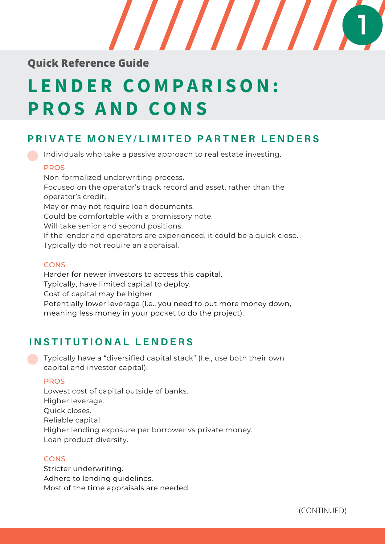

## **Quick Reference Guide**

# **L END E R CO M P A R I SON: P ROS AND CONS**

## PRIVATE MONEY/LIMITED PARTNER LENDERS

Individuals who take a passive approach to real estate investing.

### PROS

Non-formalized underwriting process. Focused on the operator's track record and asset, rather than the operator's credit. May or may not require loan documents. Could be comfortable with a promissory note. Will take senior and second positions. If the lender and operators are experienced, it could be a quick close. Typically do not require an appraisal.

### **CONS**

Harder for newer investors to access this capital. Typically, have limited capital to deploy. Cost of capital may be higher. Potentially lower leverage (I.e., you need to put more money down, meaning less money in your pocket to do the project).

## **I N S T I T U T I O N A L L E N D E R S**

Typically have a "diversified capital stack" (I.e., use both their own capital and investor capital).

### PROS

Lowest cost of capital outside of banks. Higher leverage. Quick closes. Reliable capital. Higher lending exposure per borrower vs private money. Loan product diversity.

### **CONS**

Stricter underwriting. Adhere to lending guidelines. Most of the time appraisals are needed.